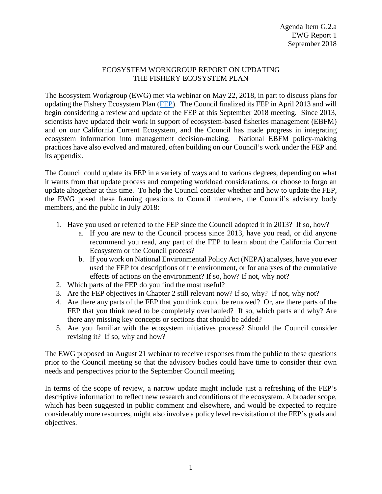## ECOSYSTEM WORKGROUP REPORT ON UPDATING THE FISHERY ECOSYSTEM PLAN

The Ecosystem Workgroup (EWG) met via webinar on May 22, 2018, in part to discuss plans for updating the Fishery Ecosystem Plan [\(FEP\)](http://www.pcouncil.org/wp-content/uploads/FEP_FINAL.pdf). The Council finalized its FEP in April 2013 and will begin considering a review and update of the FEP at this September 2018 meeting. Since 2013, scientists have updated their work in support of ecosystem-based fisheries management (EBFM) and on our California Current Ecosystem, and the Council has made progress in integrating ecosystem information into management decision-making. National EBFM policy-making practices have also evolved and matured, often building on our Council's work under the FEP and its appendix.

The Council could update its FEP in a variety of ways and to various degrees, depending on what it wants from that update process and competing workload considerations, or choose to forgo an update altogether at this time. To help the Council consider whether and how to update the FEP, the EWG posed these framing questions to Council members, the Council's advisory body members, and the public in July 2018:

- 1. Have you used or referred to the FEP since the Council adopted it in 2013? If so, how?
	- a. If you are new to the Council process since 2013, have you read, or did anyone recommend you read, any part of the FEP to learn about the California Current Ecosystem or the Council process?
	- b. If you work on National Environmental Policy Act (NEPA) analyses, have you ever used the FEP for descriptions of the environment, or for analyses of the cumulative effects of actions on the environment? If so, how? If not, why not?
- 2. Which parts of the FEP do you find the most useful?
- 3. Are the FEP objectives in Chapter 2 still relevant now? If so, why? If not, why not?
- 4. Are there any parts of the FEP that you think could be removed? Or, are there parts of the FEP that you think need to be completely overhauled? If so, which parts and why? Are there any missing key concepts or sections that should be added?
- 5. Are you familiar with the ecosystem initiatives process? Should the Council consider revising it? If so, why and how?

The EWG proposed an August 21 webinar to receive responses from the public to these questions prior to the Council meeting so that the advisory bodies could have time to consider their own needs and perspectives prior to the September Council meeting.

In terms of the scope of review, a narrow update might include just a refreshing of the FEP's descriptive information to reflect new research and conditions of the ecosystem. A broader scope, which has been suggested in public comment and elsewhere, and would be expected to require considerably more resources, might also involve a policy level re-visitation of the FEP's goals and objectives.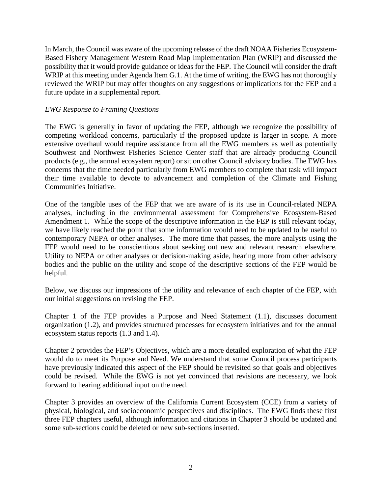In March, the Council was aware of the upcoming release of the draft NOAA Fisheries Ecosystem-Based Fishery Management Western Road Map Implementation Plan (WRIP) and discussed the possibility that it would provide guidance or ideas for the FEP. The Council will consider the draft WRIP at this meeting under Agenda Item G.1. At the time of writing, the EWG has not thoroughly reviewed the WRIP but may offer thoughts on any suggestions or implications for the FEP and a future update in a supplemental report.

## *EWG Response to Framing Questions*

The EWG is generally in favor of updating the FEP, although we recognize the possibility of competing workload concerns, particularly if the proposed update is larger in scope. A more extensive overhaul would require assistance from all the EWG members as well as potentially Southwest and Northwest Fisheries Science Center staff that are already producing Council products (e.g., the annual ecosystem report) or sit on other Council advisory bodies. The EWG has concerns that the time needed particularly from EWG members to complete that task will impact their time available to devote to advancement and completion of the Climate and Fishing Communities Initiative.

One of the tangible uses of the FEP that we are aware of is its use in Council-related NEPA analyses, including in the environmental assessment for Comprehensive Ecosystem-Based Amendment 1. While the scope of the descriptive information in the FEP is still relevant today, we have likely reached the point that some information would need to be updated to be useful to contemporary NEPA or other analyses. The more time that passes, the more analysts using the FEP would need to be conscientious about seeking out new and relevant research elsewhere. Utility to NEPA or other analyses or decision-making aside, hearing more from other advisory bodies and the public on the utility and scope of the descriptive sections of the FEP would be helpful.

Below, we discuss our impressions of the utility and relevance of each chapter of the FEP, with our initial suggestions on revising the FEP.

Chapter 1 of the FEP provides a Purpose and Need Statement (1.1), discusses document organization (1.2), and provides structured processes for ecosystem initiatives and for the annual ecosystem status reports (1.3 and 1.4).

Chapter 2 provides the FEP's Objectives, which are a more detailed exploration of what the FEP would do to meet its Purpose and Need. We understand that some Council process participants have previously indicated this aspect of the FEP should be revisited so that goals and objectives could be revised. While the EWG is not yet convinced that revisions are necessary, we look forward to hearing additional input on the need.

Chapter 3 provides an overview of the California Current Ecosystem (CCE) from a variety of physical, biological, and socioeconomic perspectives and disciplines. The EWG finds these first three FEP chapters useful, although information and citations in Chapter 3 should be updated and some sub-sections could be deleted or new sub-sections inserted.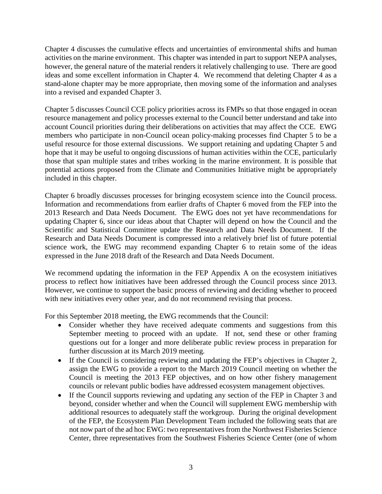Chapter 4 discusses the cumulative effects and uncertainties of environmental shifts and human activities on the marine environment. This chapter was intended in part to support NEPA analyses, however, the general nature of the material renders it relatively challenging to use. There are good ideas and some excellent information in Chapter 4. We recommend that deleting Chapter 4 as a stand-alone chapter may be more appropriate, then moving some of the information and analyses into a revised and expanded Chapter 3.

Chapter 5 discusses Council CCE policy priorities across its FMPs so that those engaged in ocean resource management and policy processes external to the Council better understand and take into account Council priorities during their deliberations on activities that may affect the CCE. EWG members who participate in non-Council ocean policy-making processes find Chapter 5 to be a useful resource for those external discussions. We support retaining and updating Chapter 5 and hope that it may be useful to ongoing discussions of human activities within the CCE, particularly those that span multiple states and tribes working in the marine environment. It is possible that potential actions proposed from the Climate and Communities Initiative might be appropriately included in this chapter.

Chapter 6 broadly discusses processes for bringing ecosystem science into the Council process. Information and recommendations from earlier drafts of Chapter 6 moved from the FEP into the 2013 Research and Data Needs Document. The EWG does not yet have recommendations for updating Chapter 6, since our ideas about that Chapter will depend on how the Council and the Scientific and Statistical Committee update the Research and Data Needs Document. If the Research and Data Needs Document is compressed into a relatively brief list of future potential science work, the EWG may recommend expanding Chapter 6 to retain some of the ideas expressed in the June 2018 draft of the Research and Data Needs Document.

We recommend updating the information in the FEP Appendix A on the ecosystem initiatives process to reflect how initiatives have been addressed through the Council process since 2013. However, we continue to support the basic process of reviewing and deciding whether to proceed with new initiatives every other year, and do not recommend revising that process.

For this September 2018 meeting, the EWG recommends that the Council:

- Consider whether they have received adequate comments and suggestions from this September meeting to proceed with an update. If not, send these or other framing questions out for a longer and more deliberate public review process in preparation for further discussion at its March 2019 meeting.
- If the Council is considering reviewing and updating the FEP's objectives in Chapter 2, assign the EWG to provide a report to the March 2019 Council meeting on whether the Council is meeting the 2013 FEP objectives, and on how other fishery management councils or relevant public bodies have addressed ecosystem management objectives.
- If the Council supports reviewing and updating any section of the FEP in Chapter 3 and beyond, consider whether and when the Council will supplement EWG membership with additional resources to adequately staff the workgroup. During the original development of the FEP, the Ecosystem Plan Development Team included the following seats that are not now part of the ad hoc EWG: two representatives from the Northwest Fisheries Science Center, three representatives from the Southwest Fisheries Science Center (one of whom